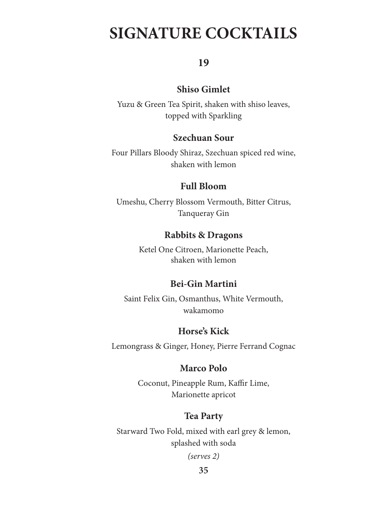# **SIGNATURE COCKTAILS**

## **19**

## **Shiso Gimlet**

Yuzu & Green Tea Spirit, shaken with shiso leaves, topped with Sparkling

## **Szechuan Sour**

Four Pillars Bloody Shiraz, Szechuan spiced red wine, shaken with lemon

## **Full Bloom**

Umeshu, Cherry Blossom Vermouth, Bitter Citrus, Tanqueray Gin

## **Rabbits & Dragons**

Ketel One Citroen, Marionette Peach, shaken with lemon

## **Bei-Gin Martini**

Saint Felix Gin, Osmanthus, White Vermouth, wakamomo

## **Horse's Kick**

Lemongrass & Ginger, Honey, Pierre Ferrand Cognac

## **Marco Polo**

Coconut, Pineapple Rum, Kaffir Lime, Marionette apricot

## **Tea Party**

Starward Two Fold, mixed with earl grey & lemon, splashed with soda

*(serves 2)*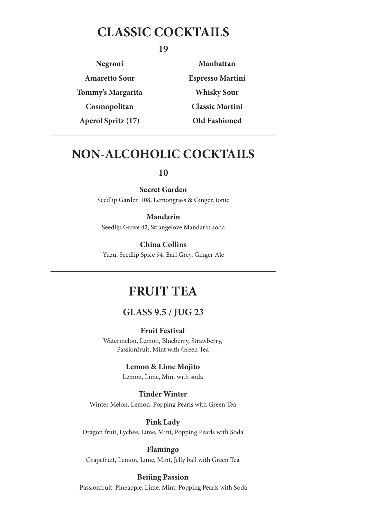## **CLASSIC COCKTAILS**

**19**

**Negroni Amaretto Sour Tommy's Margarita Cosmopolitan Aperol Spritz (17)**

**Manhattan Espresso Martini Whisky Sour Classic Martini Old Fashioned**

## **NON-ALCOHOLIC COCKTAILS**

### **10**

**Secret Garden**

Seedlip Garden 108, Lemongrass & Ginger, tonic

**Mandarin** Seedlip Grove 42, Strangelove Mandarin soda

**China Collins** Yuzu, Seedlip Spice 94, Earl Grey, Ginger Ale

## **FRUIT TEA**

## **GLASS 9.5 / JUG 23**

**Fruit Festival**

Watermelon, Lemon, Blueberry, Strawberry, Passionfruit, Mint with Green Tea

### **Lemon & Lime Mojito**

Lemon, Lime, Mint with soda

#### **Tinder Winter**

Winter Melon, Lemon, Popping Pearls with Green Tea

#### **Pink Lady**

Dragon fruit, Lychee, Lime, Mint, Popping Pearls with Soda

#### **Flamingo**

Grapefruit, Lemon, Lime, Mint, Jelly ball with Green Tea

### **Beijing Passion**

Passionfruit, Pineapple, Lime, Mint, Popping Pearls with Soda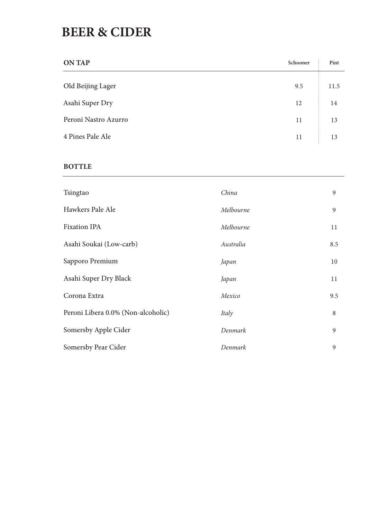## **BEER & CIDER**

| <b>ON TAP</b>        | Schooner | Pint |
|----------------------|----------|------|
| Old Beijing Lager    | 9.5      | 11.5 |
| Asahi Super Dry      | 12       | 14   |
| Peroni Nastro Azurro | 11       | 13   |
| 4 Pines Pale Ale     | 11       | 13   |

### **BOTTLE**

| Tsingtao                           | China     | 9   |
|------------------------------------|-----------|-----|
| Hawkers Pale Ale                   | Melbourne | 9   |
| <b>Fixation IPA</b>                | Melbourne | 11  |
| Asahi Soukai (Low-carb)            | Australia | 8.5 |
| Sapporo Premium                    | Japan     | 10  |
| Asahi Super Dry Black              | Japan     | 11  |
| Corona Extra                       | Mexico    | 9.5 |
| Peroni Libera 0.0% (Non-alcoholic) | Italy     | 8   |
| Somersby Apple Cider               | Denmark   | 9   |
| Somersby Pear Cider                | Denmark   | 9   |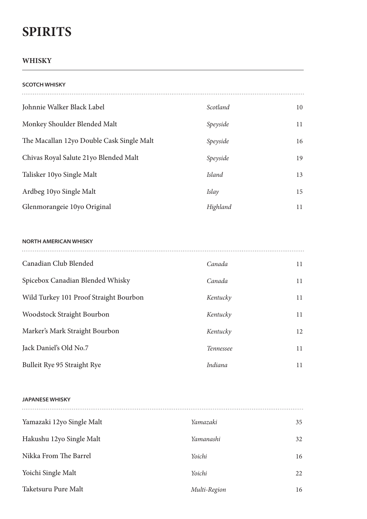# **SPIRITS**

### **WHISKY**

| <b>SCOTCH WHISKY</b>                      |          |    |
|-------------------------------------------|----------|----|
| Johnnie Walker Black Label                | Scotland | 10 |
| Monkey Shoulder Blended Malt              | Speyside | 11 |
| The Macallan 12yo Double Cask Single Malt | Speyside | 16 |
| Chivas Royal Salute 21yo Blended Malt     | Speyside | 19 |
| Talisker 10yo Single Malt                 | Island   | 13 |
| Ardbeg 10yo Single Malt                   | Islay    | 15 |
| Glenmorangeie 10yo Original               | Highland | 11 |

#### **NORTH AMERICAN WHISKY**

| Canadian Club Blended                  | Canada           | 11 |
|----------------------------------------|------------------|----|
| Spicebox Canadian Blended Whisky       | Canada           | 11 |
| Wild Turkey 101 Proof Straight Bourbon | Kentucky         | 11 |
| <b>Woodstock Straight Bourbon</b>      | Kentucky         | 11 |
| Marker's Mark Straight Bourbon         | Kentucky         | 12 |
| Jack Daniel's Old No.7                 | <b>Tennessee</b> | 11 |
| Bulleit Rye 95 Straight Rye            | Indiana          | 11 |

#### **JAPANESE WHISKY**

| Yamazaki 12yo Single Malt | Yamazaki     | 35 |
|---------------------------|--------------|----|
| Hakushu 12yo Single Malt  | Yamanashi    | 32 |
| Nikka From The Barrel     | Yoichi       | 16 |
| Yoichi Single Malt        | Yoichi       | 22 |
| Taketsuru Pure Malt       | Multi-Region | 16 |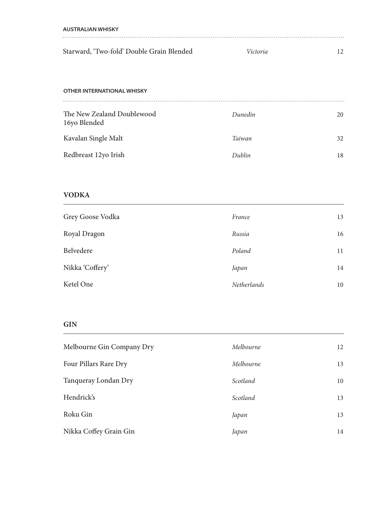| AUSTRALIAN WHISKY                         |                 |  |
|-------------------------------------------|-----------------|--|
|                                           |                 |  |
| Starward, 'Two-fold' Double Grain Blended | <i>Victoria</i> |  |

#### **OTHER INTERNATIONAL WHISKY**

| Dunedin | 20 |
|---------|----|
| Taiwan  | 32 |
| Dublin  | 18 |
|         |    |

### **VODKA**

| Grey Goose Vodka | France      | 13 |
|------------------|-------------|----|
| Royal Dragon     | Russia      | 16 |
| Belvedere        | Poland      | 11 |
| Nikka 'Coffery'  | Japan       | 14 |
| Ketel One        | Netherlands | 10 |

### **GIN**

| Melbourne Gin Company Dry | Melbourne | 12 |
|---------------------------|-----------|----|
| Four Pillars Rare Dry     | Melbourne | 13 |
| Tanqueray Londan Dry      | Scotland  | 10 |
| Hendrick's                | Scotland  | 13 |
| Roku Gin                  | Japan     | 13 |
| Nikka Coffey Grain Gin    | Japan     | 14 |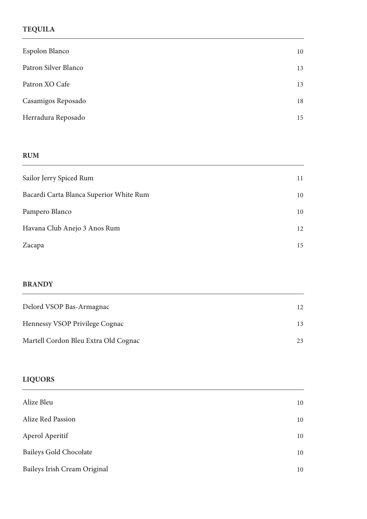### **TEQUILA**

| Espolon Blanco       | 10 |
|----------------------|----|
| Patron Silver Blanco | 13 |
| Patron XO Cafe       | 13 |
| Casamigos Reposado   | 18 |
| Herradura Reposado   | 15 |

### **RUM**

| Sailor Jerry Spiced Rum                 | 11 |
|-----------------------------------------|----|
| Bacardi Carta Blanca Superior White Rum | 10 |
| Pampero Blanco                          | 10 |
| Havana Club Anejo 3 Anos Rum            | 12 |
| Zacapa                                  | 15 |
|                                         |    |

### **BRANDY**

| Delord VSOP Bas-Armagnac             | 12. |
|--------------------------------------|-----|
| Hennessy VSOP Privilege Cognac       | 13  |
| Martell Cordon Bleu Extra Old Cognac | 23  |

### **LIQUORS**

| Alize Bleu                    | 10 |  |
|-------------------------------|----|--|
| Alize Red Passion             | 10 |  |
| Aperol Aperitif               | 10 |  |
| <b>Baileys Gold Chocolate</b> | 10 |  |
| Baileys Irish Cream Original  | 10 |  |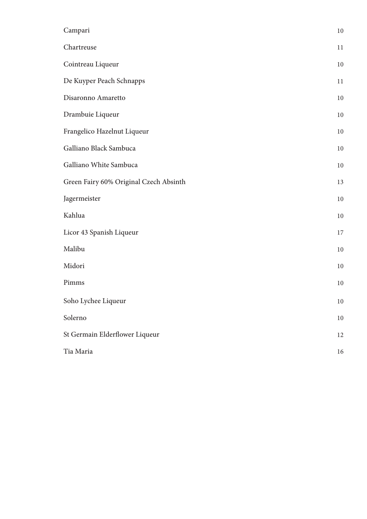| Campari                                | 10 |
|----------------------------------------|----|
| Chartreuse                             | 11 |
| Cointreau Liqueur                      | 10 |
| De Kuyper Peach Schnapps               | 11 |
| Disaronno Amaretto                     | 10 |
| Drambuie Liqueur                       | 10 |
| Frangelico Hazelnut Liqueur            | 10 |
| Galliano Black Sambuca                 | 10 |
| Galliano White Sambuca                 | 10 |
| Green Fairy 60% Original Czech Absinth | 13 |
| Jagermeister                           | 10 |
| Kahlua                                 | 10 |
| Licor 43 Spanish Liqueur               | 17 |
| Malibu                                 | 10 |
| Midori                                 | 10 |
| Pimms                                  | 10 |
| Soho Lychee Liqueur                    | 10 |
| Solerno                                | 10 |
| St Germain Elderflower Liqueur         | 12 |
| Tia Maria                              | 16 |